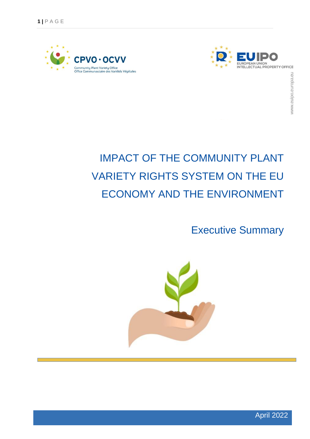



## IMPACT OF THE COMMUNITY PLANT VARIETY RIGHTS SYSTEM ON THE EU ECONOMY AND THE ENVIRONMENT

Executive Summary



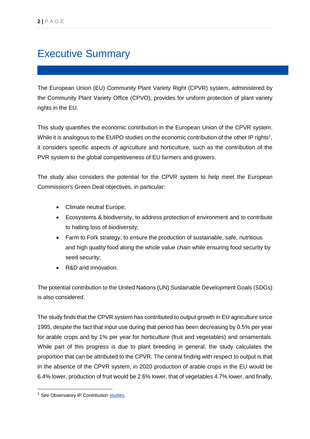## Executive Summary

The European Union (EU) Community Plant Variety Right (CPVR) system, administered by the Community Plant Variety Office (CPVO), provides for uniform protection of plant variety rights in the EU.

This study quantifies the economic contribution in the European Union of the CPVR system. While it is analogous to the EUIPO studies on the economic contribution of the other IP rights<sup>1</sup>, it considers specific aspects of agriculture and horticulture, such as the contribution of the PVR system to the global competitiveness of EU farmers and growers.

The study also considers the potential for the CPVR system to help meet the European Commission's Green Deal objectives, in particular:

- Climate neutral Europe;
- Ecosystems & biodiversity, to address protection of environment and to contribute to halting loss of biodiversity;
- Farm to Fork strategy, to ensure the production of sustainable, safe, nutritious and high quality food along the whole value chain while ensuring food security by seed security;
- R&D and innovation.

The potential contribution to the United Nations (UN) Sustainable Development Goals (SDGs) is also considered.

The study finds that the CPVR system has contributed to output growth in EU agriculture since 1995, despite the fact that input use during that period has been decreasing by 0.5% per year for arable crops and by 1% per year for horticulture (fruit and vegetables) and ornamentals. While part of this progress is due to plant breeding in general, the study calculates the proportion that can be attributed to the CPVR. The central finding with respect to output is that in the absence of the CPVR system, in 2020 production of arable crops in the EU would be 6.4% lower, production of fruit would be 2.6% lower, that of vegetables 4.7% lower, and finally,

-

<sup>&</sup>lt;sup>1</sup> See Observatory IP Contribution [studies.](https://euipo.europa.eu/ohimportal/en/web/observatory/ip-contribution)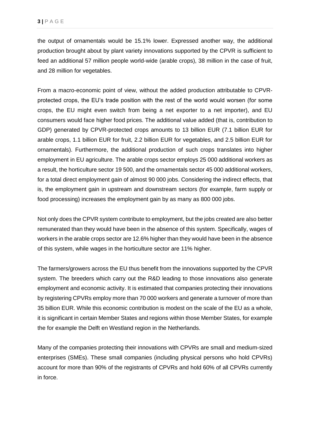the output of ornamentals would be 15.1% lower. Expressed another way, the additional production brought about by plant variety innovations supported by the CPVR is sufficient to feed an additional 57 million people world-wide (arable crops), 38 million in the case of fruit, and 28 million for vegetables.

From a macro-economic point of view, without the added production attributable to CPVRprotected crops, the EU's trade position with the rest of the world would worsen (for some crops, the EU might even switch from being a net exporter to a net importer), and EU consumers would face higher food prices. The additional value added (that is, contribution to GDP) generated by CPVR-protected crops amounts to 13 billion EUR (7.1 billion EUR for arable crops, 1.1 billion EUR for fruit, 2.2 billion EUR for vegetables, and 2.5 billion EUR for ornamentals). Furthermore, the additional production of such crops translates into higher employment in EU agriculture. The arable crops sector employs 25 000 additional workers as a result, the horticulture sector 19 500, and the ornamentals sector 45 000 additional workers, for a total direct employment gain of almost 90 000 jobs. Considering the indirect effects, that is, the employment gain in upstream and downstream sectors (for example, farm supply or food processing) increases the employment gain by as many as 800 000 jobs.

Not only does the CPVR system contribute to employment, but the jobs created are also better remunerated than they would have been in the absence of this system. Specifically, wages of workers in the arable crops sector are 12.6% higher than they would have been in the absence of this system, while wages in the horticulture sector are 11% higher.

The farmers/growers across the EU thus benefit from the innovations supported by the CPVR system. The breeders which carry out the R&D leading to those innovations also generate employment and economic activity. It is estimated that companies protecting their innovations by registering CPVRs employ more than 70 000 workers and generate a turnover of more than 35 billion EUR. While this economic contribution is modest on the scale of the EU as a whole, it is significant in certain Member States and regions within those Member States, for example the for example the Delft en Westland region in the Netherlands.

Many of the companies protecting their innovations with CPVRs are small and medium-sized enterprises (SMEs). These small companies (including physical persons who hold CPVRs) account for more than 90% of the registrants of CPVRs and hold 60% of all CPVRs currently in force.